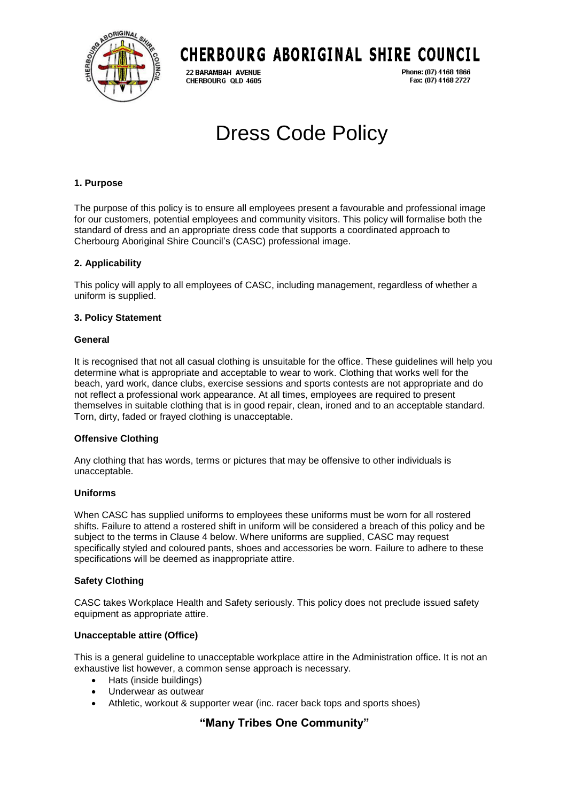

# **CHERBOURG ABORIGINAL SHIRE COUNCIL**

22 BARAMBAH AVENUE CHERBOURG QLD 4605 Phone: (07) 4168 1866 Fax: (07) 4168 2727

# Dress Code Policy

# **1. Purpose**

The purpose of this policy is to ensure all employees present a favourable and professional image for our customers, potential employees and community visitors. This policy will formalise both the standard of dress and an appropriate dress code that supports a coordinated approach to Cherbourg Aboriginal Shire Council's (CASC) professional image.

# **2. Applicability**

This policy will apply to all employees of CASC, including management, regardless of whether a uniform is supplied.

# **3. Policy Statement**

# **General**

It is recognised that not all casual clothing is unsuitable for the office. These guidelines will help you determine what is appropriate and acceptable to wear to work. Clothing that works well for the beach, yard work, dance clubs, exercise sessions and sports contests are not appropriate and do not reflect a professional work appearance. At all times, employees are required to present themselves in suitable clothing that is in good repair, clean, ironed and to an acceptable standard. Torn, dirty, faded or frayed clothing is unacceptable.

# **Offensive Clothing**

Any clothing that has words, terms or pictures that may be offensive to other individuals is unacceptable.

# **Uniforms**

When CASC has supplied uniforms to employees these uniforms must be worn for all rostered shifts. Failure to attend a rostered shift in uniform will be considered a breach of this policy and be subject to the terms in Clause 4 below. Where uniforms are supplied, CASC may request specifically styled and coloured pants, shoes and accessories be worn. Failure to adhere to these specifications will be deemed as inappropriate attire.

# **Safety Clothing**

CASC takes Workplace Health and Safety seriously. This policy does not preclude issued safety equipment as appropriate attire.

# **Unacceptable attire (Office)**

This is a general guideline to unacceptable workplace attire in the Administration office. It is not an exhaustive list however, a common sense approach is necessary.

- Hats (inside buildings)
- Underwear as outwear
- Athletic, workout & supporter wear (inc. racer back tops and sports shoes)

# **"Many Tribes One Community"**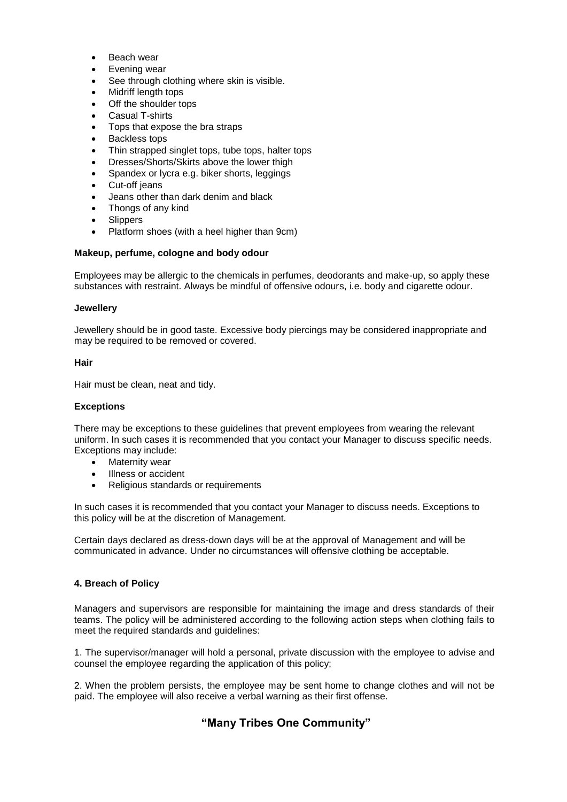- Beach wear
- Evening wear
- See through clothing where skin is visible.
- Midriff length tops
- Off the shoulder tops
- Casual T-shirts
- Tops that expose the bra straps
- Backless tops
- Thin strapped singlet tops, tube tops, halter tops
- Dresses/Shorts/Skirts above the lower thigh
- Spandex or lycra e.g. biker shorts, leggings
- Cut-off jeans
- Jeans other than dark denim and black
- Thongs of any kind
- Slippers
- Platform shoes (with a heel higher than 9cm)

## **Makeup, perfume, cologne and body odour**

Employees may be allergic to the chemicals in perfumes, deodorants and make-up, so apply these substances with restraint. Always be mindful of offensive odours, i.e. body and cigarette odour.

### **Jewellery**

Jewellery should be in good taste. Excessive body piercings may be considered inappropriate and may be required to be removed or covered.

### **Hair**

Hair must be clean, neat and tidy.

### **Exceptions**

There may be exceptions to these guidelines that prevent employees from wearing the relevant uniform. In such cases it is recommended that you contact your Manager to discuss specific needs. Exceptions may include:

- Maternity wear
- Illness or accident
- Religious standards or requirements

In such cases it is recommended that you contact your Manager to discuss needs. Exceptions to this policy will be at the discretion of Management.

Certain days declared as dress-down days will be at the approval of Management and will be communicated in advance. Under no circumstances will offensive clothing be acceptable.

### **4. Breach of Policy**

Managers and supervisors are responsible for maintaining the image and dress standards of their teams. The policy will be administered according to the following action steps when clothing fails to meet the required standards and guidelines:

1. The supervisor/manager will hold a personal, private discussion with the employee to advise and counsel the employee regarding the application of this policy;

2. When the problem persists, the employee may be sent home to change clothes and will not be paid. The employee will also receive a verbal warning as their first offense.

# **"Many Tribes One Community"**